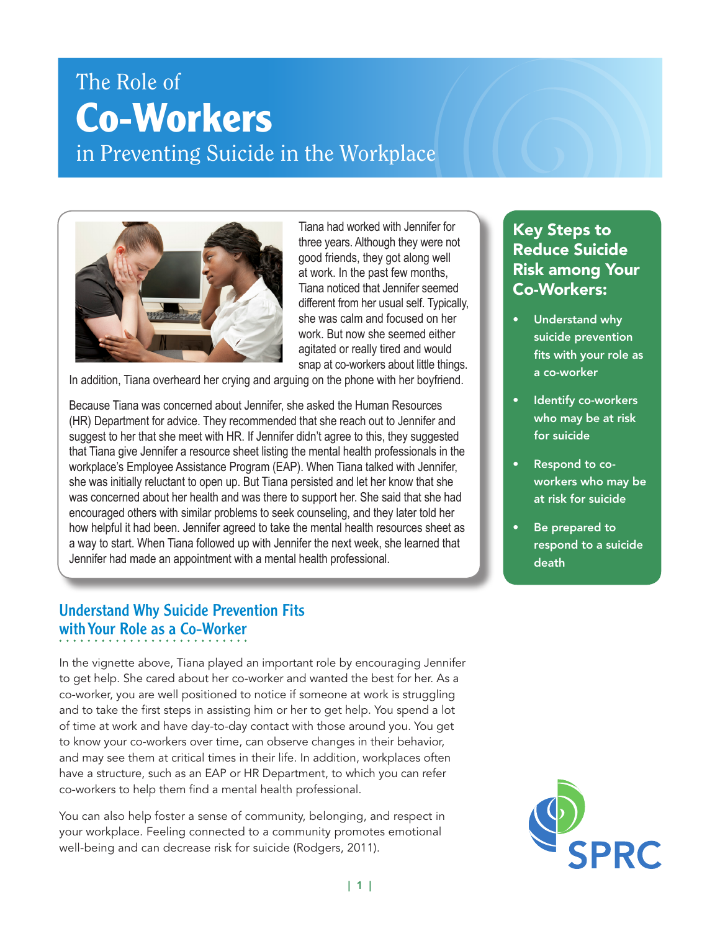# The Role of **Co-Workers**  in Preventing Suicide in the Workplace



Tiana had worked with Jennifer for three years. Although they were not good friends, they got along well at work. In the past few months, Tiana noticed that Jennifer seemed different from her usual self. Typically, she was calm and focused on her work. But now she seemed either agitated or really tired and would snap at co-workers about little things.

In addition, Tiana overheard her crying and arguing on the phone with her boyfriend.

Because Tiana was concerned about Jennifer, she asked the Human Resources (HR) Department for advice. They recommended that she reach out to Jennifer and suggest to her that she meet with HR. If Jennifer didn't agree to this, they suggested that Tiana give Jennifer a resource sheet listing the mental health professionals in the workplace's Employee Assistance Program (EAP). When Tiana talked with Jennifer, she was initially reluctant to open up. But Tiana persisted and let her know that she was concerned about her health and was there to support her. She said that she had encouraged others with similar problems to seek counseling, and they later told her how helpful it had been. Jennifer agreed to take the mental health resources sheet as a way to start. When Tiana followed up with Jennifer the next week, she learned that Jennifer had made an appointment with a mental health professional.

## Understand Why Suicide Prevention Fits with Your Role as a Co-Worker

In the vignette above, Tiana played an important role by encouraging Jennifer to get help. She cared about her co-worker and wanted the best for her. As a co-worker, you are well positioned to notice if someone at work is struggling and to take the first steps in assisting him or her to get help. You spend a lot of time at work and have day-to-day contact with those around you. You get to know your co-workers over time, can observe changes in their behavior, and may see them at critical times in their life. In addition, workplaces often have a structure, such as an EAP or HR Department, to which you can refer co-workers to help them find a mental health professional.

You can also help foster a sense of community, belonging, and respect in your workplace. Feeling connected to a community promotes emotional well-being and can decrease risk for suicide (Rodgers, 2011).

## Key Steps to Reduce Suicide Risk among Your Co-Workers:

- Understand why suicide prevention fits with your role as a co-worker
- Identify co-workers who may be at risk for suicide
- Respond to coworkers who may be at risk for suicide
- Be prepared to respond to a suicide death

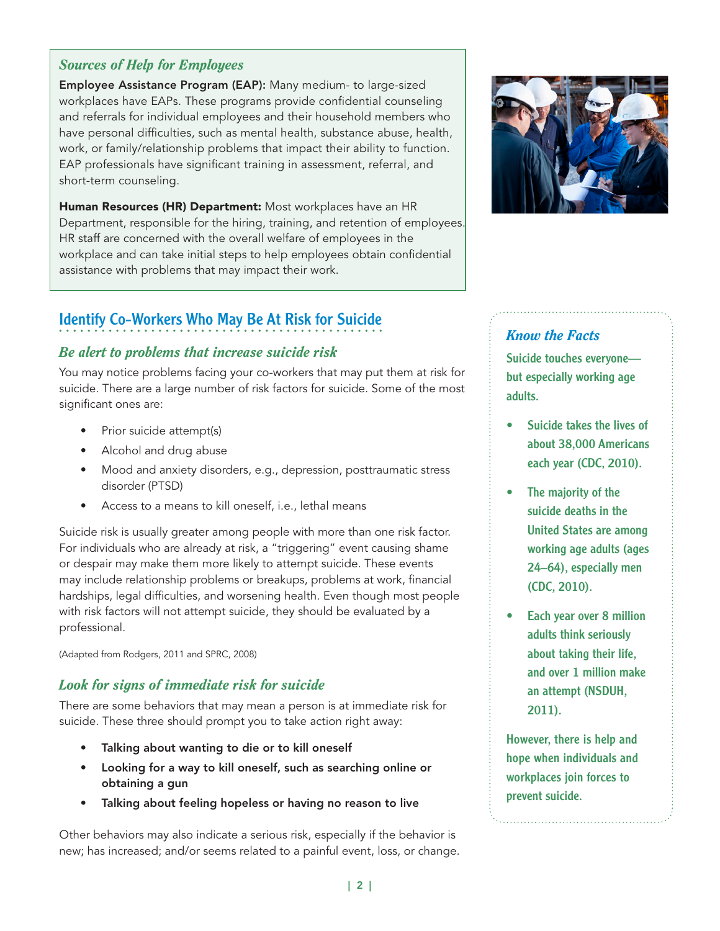#### *Sources of Help for Employees*

Employee Assistance Program (EAP): Many medium- to large-sized workplaces have EAPs. These programs provide confidential counseling and referrals for individual employees and their household members who have personal diffculties, such as mental health, substance abuse, health, work, or family/relationship problems that impact their ability to function. EAP professionals have significant training in assessment, referral, and short-term counseling.

Human Resources (HR) Department: Most workplaces have an HR Department, responsible for the hiring, training, and retention of employees. HR staff are concerned with the overall welfare of employees in the workplace and can take initial steps to help employees obtain confdential assistance with problems that may impact their work.



# Identify Co-Workers Who May Be At Risk for Suicide

#### *Be alert to problems that increase suicide risk*

You may notice problems facing your co-workers that may put them at risk for suicide. There are a large number of risk factors for suicide. Some of the most significant ones are:

- Prior suicide attempt(s)
- Alcohol and drug abuse
- Mood and anxiety disorders, e.g., depression, posttraumatic stress disorder (PTSD)
- Access to a means to kill oneself, i.e., lethal means

Suicide risk is usually greater among people with more than one risk factor. For individuals who are already at risk, a "triggering" event causing shame or despair may make them more likely to attempt suicide. These events may include relationship problems or breakups, problems at work, fnancial hardships, legal difficulties, and worsening health. Even though most people with risk factors will not attempt suicide, they should be evaluated by a professional.

(Adapted from Rodgers, 2011 and SPRC, 2008)

### *Look for signs of immediate risk for suicide*

There are some behaviors that may mean a person is at immediate risk for suicide. These three should prompt you to take action right away:

- Talking about wanting to die or to kill oneself
- Looking for a way to kill oneself, such as searching online or obtaining a gun
- Talking about feeling hopeless or having no reason to live

Other behaviors may also indicate a serious risk, especially if the behavior is new; has increased; and/or seems related to a painful event, loss, or change.

### *Know the Facts*

Suicide touches everyone but especially working age adults.

- Suicide takes the lives of about 38,000 Americans each year (CDC, 2010).
- The majority of the suicide deaths in the United States are among working age adults (ages 24–64), especially men (CDC, 2010).
- Each year over 8 million adults think seriously about taking their life, and over 1 million make an attempt (NSDUH, 2011).

However, there is help and hope when individuals and workplaces join forces to prevent suicide.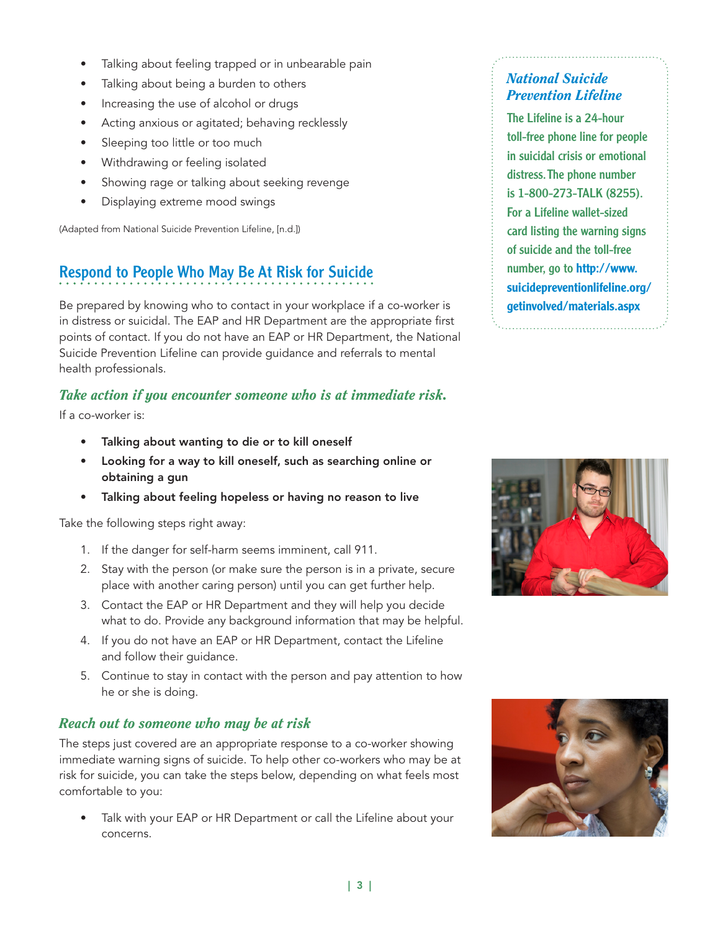- Talking about feeling trapped or in unbearable pain
- Talking about being a burden to others
- Increasing the use of alcohol or drugs
- Acting anxious or agitated; behaving recklessly
- Sleeping too little or too much
- Withdrawing or feeling isolated
- Showing rage or talking about seeking revenge
- Displaying extreme mood swings

(Adapted from National Suicide Prevention Lifeline, [n.d.])

# Respond to People Who May Be At Risk for Suicide

Be prepared by knowing who to contact in your workplace if a co-worker is in distress or suicidal. The EAP and HR Department are the appropriate first points of contact. If you do not have an EAP or HR Department, the National Suicide Prevention Lifeline can provide guidance and referrals to mental health professionals.

### *Take action if you encounter someone who is at immediate risk.*

If a co-worker is:

- Talking about wanting to die or to kill oneself
- Looking for a way to kill oneself, such as searching online or obtaining a gun
- Talking about feeling hopeless or having no reason to live

Take the following steps right away:

- 1. If the danger for self-harm seems imminent, call 911.
- 2. Stay with the person (or make sure the person is in a private, secure place with another caring person) until you can get further help.
- 3. Contact the EAP or HR Department and they will help you decide what to do. Provide any background information that may be helpful.
- 4. If you do not have an EAP or HR Department, contact the Lifeline and follow their guidance.
- 5. Continue to stay in contact with the person and pay attention to how he or she is doing.

### *Reach out to someone who may be at risk*

The steps just covered are an appropriate response to a co-worker showing immediate warning signs of suicide. To help other co-workers who may be at risk for suicide, you can take the steps below, depending on what feels most comfortable to you:

Talk with your EAP or HR Department or call the Lifeline about your concerns.

### *National Suicide Prevention Lifeline*

The Lifeline is a 24-hour toll-free phone line for people in suicidal crisis or emotional distress.The phone number is 1-800-273-TALK (8255). For a Lifeline wallet-sized card listing the warning signs of suicide and the toll-free number, go to http://www. suicidepreventionlifeline.org/ getinvolved/materials.aspx



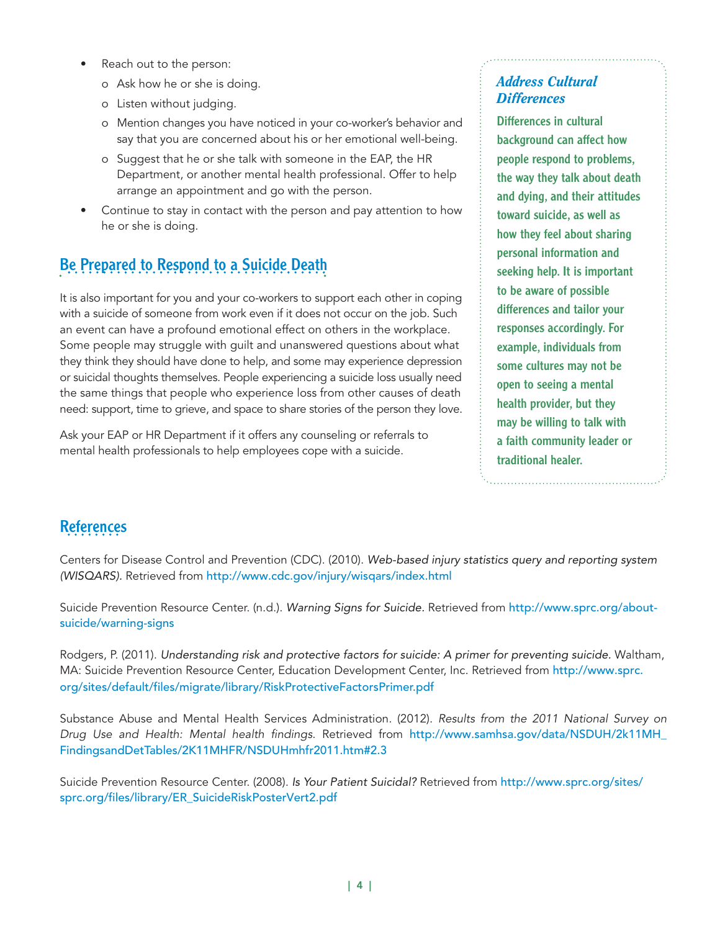- Reach out to the person:
	- o Ask how he or she is doing.
	- o Listen without judging.
	- o Mention changes you have noticed in your co-worker's behavior and say that you are concerned about his or her emotional well-being.
	- o Suggest that he or she talk with someone in the EAP, the HR Department, or another mental health professional. Offer to help arrange an appointment and go with the person.
- Continue to stay in contact with the person and pay attention to how he or she is doing.

# Be Prepared to Respond to a Suicide Death

It is also important for you and your co-workers to support each other in coping with a suicide of someone from work even if it does not occur on the job. Such an event can have a profound emotional effect on others in the workplace. Some people may struggle with guilt and unanswered questions about what they think they should have done to help, and some may experience depression or suicidal thoughts themselves. People experiencing a suicide loss usually need the same things that people who experience loss from other causes of death need: support, time to grieve, and space to share stories of the person they love.

Ask your EAP or HR Department if it offers any counseling or referrals to mental health professionals to help employees cope with a suicide.

### *Address Cultural Differences*

Differences in cultural background can affect how people respond to problems, the way they talk about death and dying, and their attitudes toward suicide, as well as how they feel about sharing personal information and seeking help. It is important to be aware of possible differences and tailor your responses accordingly. For example, individuals from some cultures may not be open to seeing a mental health provider, but they may be willing to talk with a faith community leader or traditional healer.

# **References**

Centers for Disease Control and Prevention (CDC). (2010). *Web-based injury statistics query and reporting system (WISQARS).* Retrieved from http://www.cdc.gov/injury/wisqars/index.html

Suicide Prevention Resource Center. (n.d.). *Warning Signs for Suicide.* Retrieved from http://www.sprc.org/aboutsuicide/warning-signs

Rodgers, P. (2011). *Understanding risk and protective factors for suicide: A primer for preventing suicide.* Waltham, MA: Suicide Prevention Resource Center, Education Development Center, Inc. Retrieved from http://www.sprc. org/sites/default/files/migrate/library/RiskProtectiveFactorsPrimer.pdf

Substance Abuse and Mental Health Services Administration. (2012). *Results from the 2011 National Survey on Drug Use and Health: Mental health findings*. Retrieved from http://www.samhsa.gov/data/NSDUH/2k11MH\_ FindingsandDetTables/2K11MHFR/NSDUHmhfr2011.htm#2.3

Suicide Prevention Resource Center. (2008). *Is Your Patient Suicidal?* Retrieved from http://www.sprc.org/sites/ sprc.org/files/library/ER\_SuicideRiskPosterVert2.pdf